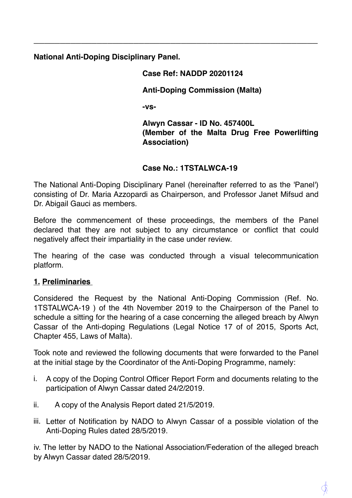**National Anti-Doping Disciplinary Panel.** 

# **Case Ref: NADDP 20201124**

**\_\_\_\_\_\_\_\_\_\_\_\_\_\_\_\_\_\_\_\_\_\_\_\_\_\_\_\_\_\_\_\_\_\_\_\_\_\_\_\_\_\_\_\_\_\_\_\_\_\_\_\_\_\_** 

#### **Anti-Doping Commission (Malta)**

**-vs-**

**Alwyn Cassar - ID No. 457400L (Member of the Malta Drug Free Powerlifting Association)**

#### **Case No.: 1TSTALWCA-19**

The National Anti-Doping Disciplinary Panel (hereinafter referred to as the 'Panel') consisting of Dr. Maria Azzopardi as Chairperson, and Professor Janet Mifsud and Dr. Abigail Gauci as members.

Before the commencement of these proceedings, the members of the Panel declared that they are not subject to any circumstance or conflict that could negatively affect their impartiality in the case under review.

The hearing of the case was conducted through a visual telecommunication platform.

### **1. Preliminaries**

Considered the Request by the National Anti-Doping Commission (Ref. No. 1TSTALWCA-19 ) of the 4th November 2019 to the Chairperson of the Panel to schedule a sitting for the hearing of a case concerning the alleged breach by Alwyn Cassar of the Anti-doping Regulations (Legal Notice 17 of of 2015, Sports Act, Chapter 455, Laws of Malta).

Took note and reviewed the following documents that were forwarded to the Panel at the initial stage by the Coordinator of the Anti-Doping Programme, namely:

- i. A copy of the Doping Control Officer Report Form and documents relating to the participation of Alwyn Cassar dated 24/2/2019.
- ii. A copy of the Analysis Report dated 21/5/2019.
- iii. Letter of Notification by NADO to Alwyn Cassar of a possible violation of the Anti-Doping Rules dated 28/5/2019.

iv. The letter by NADO to the National Association/Federation of the alleged breach by Alwyn Cassar dated 28/5/2019.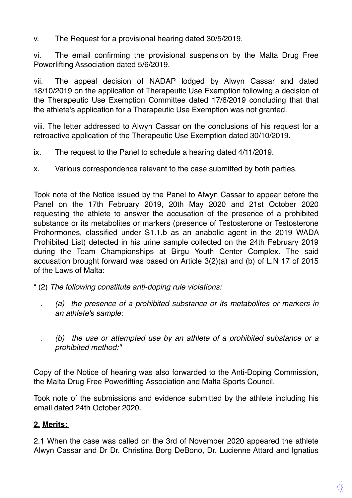v. The Request for a provisional hearing dated 30/5/2019.

vi. The email confirming the provisional suspension by the Malta Drug Free Powerlifting Association dated 5/6/2019.

vii. The appeal decision of NADAP lodged by Alwyn Cassar and dated 18/10/2019 on the application of Therapeutic Use Exemption following a decision of the Therapeutic Use Exemption Committee dated 17/6/2019 concluding that that the athlete's application for a Therapeutic Use Exemption was not granted.

viii. The letter addressed to Alwyn Cassar on the conclusions of his request for a retroactive application of the Therapeutic Use Exemption dated 30/10/2019.

- ix. The request to the Panel to schedule a hearing dated 4/11/2019.
- x. Various correspondence relevant to the case submitted by both parties.

Took note of the Notice issued by the Panel to Alwyn Cassar to appear before the Panel on the 17th February 2019, 20th May 2020 and 21st October 2020 requesting the athlete to answer the accusation of the presence of a prohibited substance or its metabolites or markers (presence of Testosterone or Testosterone Prohormones, classified under S1.1.b as an anabolic agent in the 2019 WADA Prohibited List) detected in his urine sample collected on the 24th February 2019 during the Team Championships at Birgu Youth Center Complex. The said accusation brought forward was based on Article 3(2)(a) and (b) of L.N 17 of 2015 of the Laws of Malta:

- " (2) *The following constitute anti-doping rule violations:* 
	- *. (a) the presence of a prohibited substance or its metabolites or markers in an athlete's sample:*

*. (b) the use or attempted use by an athlete of a prohibited substance or a prohibited method:"* 

Copy of the Notice of hearing was also forwarded to the Anti-Doping Commission, the Malta Drug Free Powerlifting Association and Malta Sports Council.

Took note of the submissions and evidence submitted by the athlete including his email dated 24th October 2020.

### **2. Merits:**

2.1 When the case was called on the 3rd of November 2020 appeared the athlete Alwyn Cassar and Dr Dr. Christina Borg DeBono, Dr. Lucienne Attard and Ignatius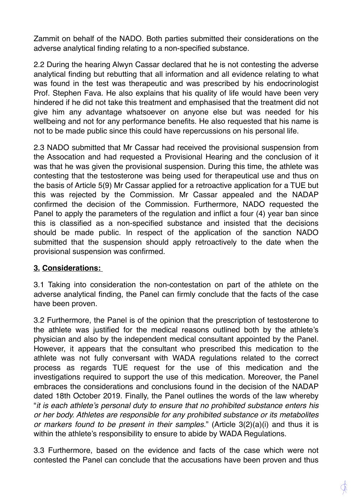Zammit on behalf of the NADO. Both parties submitted their considerations on the adverse analytical finding relating to a non-specified substance.

2.2 During the hearing Alwyn Cassar declared that he is not contesting the adverse analytical finding but rebutting that all information and all evidence relating to what was found in the test was therapeutic and was prescribed by his endocrinologist Prof. Stephen Fava. He also explains that his quality of life would have been very hindered if he did not take this treatment and emphasised that the treatment did not give him any advantage whatsoever on anyone else but was needed for his wellbeing and not for any performance benefits. He also requested that his name is not to be made public since this could have repercussions on his personal life.

2.3 NADO submitted that Mr Cassar had received the provisional suspension from the Assocation and had requested a Provisional Hearing and the conclusion of it was that he was given the provisional suspension. During this time, the athlete was contesting that the testosterone was being used for therapeutical use and thus on the basis of Article 5(9) Mr Cassar applied for a retroactive application for a TUE but this was rejected by the Commission. Mr Cassar appealed and the NADAP confirmed the decision of the Commission. Furthermore, NADO requested the Panel to apply the parameters of the regulation and inflict a four (4) year ban since this is classified as a non-specified substance and insisted that the decisions should be made public. In respect of the application of the sanction NADO submitted that the suspension should apply retroactively to the date when the provisional suspension was confirmed.

### **3. Considerations:**

3.1 Taking into consideration the non-contestation on part of the athlete on the adverse analytical finding, the Panel can firmly conclude that the facts of the case have been proven.

3.2 Furthermore, the Panel is of the opinion that the prescription of testosterone to the athlete was justified for the medical reasons outlined both by the athlete's physician and also by the independent medical consultant appointed by the Panel. However, it appears that the consultant who prescribed this medication to the athlete was not fully conversant with WADA regulations related to the correct process as regards TUE request for the use of this medication and the investigations required to support the use of this medication. Moreover, the Panel embraces the considerations and conclusions found in the decision of the NADAP dated 18th October 2019. Finally, the Panel outlines the words of the law whereby "*it is each athlete's personal duty to ensure that no prohibited substance enters his or her body. Athletes are responsible for any prohibited substance or its metabolites or markers found to be present in their samples.*" (Article 3(2)(a)(i) and thus it is within the athlete's responsibility to ensure to abide by WADA Regulations.

3.3 Furthermore, based on the evidence and facts of the case which were not contested the Panel can conclude that the accusations have been proven and thus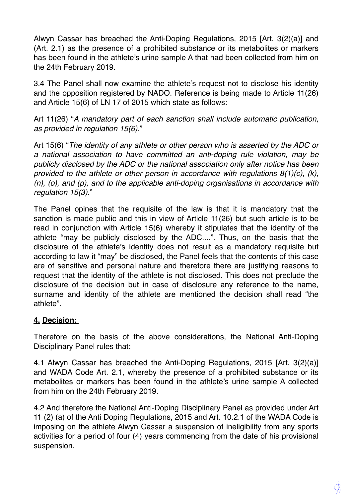Alwyn Cassar has breached the Anti-Doping Regulations, 2015 [Art. 3(2)(a)] and (Art. 2.1) as the presence of a prohibited substance or its metabolites or markers has been found in the athlete's urine sample A that had been collected from him on the 24th February 2019.

3.4 The Panel shall now examine the athlete's request not to disclose his identity and the opposition registered by NADO. Reference is being made to Article 11(26) and Article 15(6) of LN 17 of 2015 which state as follows:

Art 11(26) "*A mandatory part of each sanction shall include automatic publication, as provided in regulation 15(6).*"

Art 15(6) "*The identity of any athlete or other person who is asserted by the ADC or a national association to have committed an anti-doping rule violation, may be publicly disclosed by the ADC or the national association only after notice has been provided to the athlete or other person in accordance with regulations 8(1)(c), (k), (n), (o), and (p), and to the applicable anti-doping organisations in accordance with regulation 15(3).*"

The Panel opines that the requisite of the law is that it is mandatory that the sanction is made public and this in view of Article 11(26) but such article is to be read in conjunction with Article 15(6) whereby it stipulates that the identity of the athlete "may be publicly disclosed by the ADC....". Thus, on the basis that the disclosure of the athlete's identity does not result as a mandatory requisite but according to law it "may" be disclosed, the Panel feels that the contents of this case are of sensitive and personal nature and therefore there are justifying reasons to request that the identity of the athlete is not disclosed. This does not preclude the disclosure of the decision but in case of disclosure any reference to the name, surname and identity of the athlete are mentioned the decision shall read "the athlete".

## **4. Decision:**

Therefore on the basis of the above considerations, the National Anti-Doping Disciplinary Panel rules that:

4.1 Alwyn Cassar has breached the Anti-Doping Regulations, 2015 [Art. 3(2)(a)] and WADA Code Art. 2.1, whereby the presence of a prohibited substance or its metabolites or markers has been found in the athlete's urine sample A collected from him on the 24th February 2019.

4.2 And therefore the National Anti-Doping Disciplinary Panel as provided under Art 11 (2) (a) of the Anti Doping Regulations, 2015 and Art. 10.2.1 of the WADA Code is imposing on the athlete Alwyn Cassar a suspension of ineligibility from any sports activities for a period of four (4) years commencing from the date of his provisional suspension.